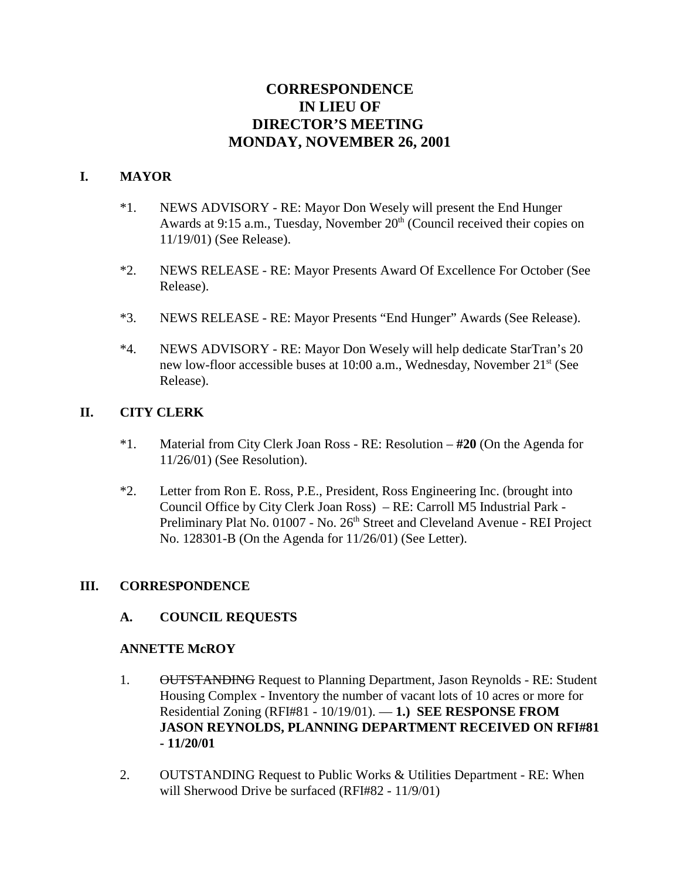# **CORRESPONDENCE IN LIEU OF DIRECTOR'S MEETING MONDAY, NOVEMBER 26, 2001**

#### **I. MAYOR**

- \*1. NEWS ADVISORY RE: Mayor Don Wesely will present the End Hunger Awards at 9:15 a.m., Tuesday, November 20<sup>th</sup> (Council received their copies on 11/19/01) (See Release).
- \*2. NEWS RELEASE RE: Mayor Presents Award Of Excellence For October (See Release).
- \*3. NEWS RELEASE RE: Mayor Presents "End Hunger" Awards (See Release).
- \*4. NEWS ADVISORY RE: Mayor Don Wesely will help dedicate StarTran's 20 new low-floor accessible buses at 10:00 a.m., Wednesday, November 21<sup>st</sup> (See Release).

#### **II. CITY CLERK**

- \*1. Material from City Clerk Joan Ross RE: Resolution **#20** (On the Agenda for 11/26/01) (See Resolution).
- \*2. Letter from Ron E. Ross, P.E., President, Ross Engineering Inc. (brought into Council Office by City Clerk Joan Ross) – RE: Carroll M5 Industrial Park - Preliminary Plat No. 01007 - No. 26<sup>th</sup> Street and Cleveland Avenue - REI Project No. 128301-B (On the Agenda for 11/26/01) (See Letter).

#### **III. CORRESPONDENCE**

#### **A. COUNCIL REQUESTS**

#### **ANNETTE McROY**

- 1. OUTSTANDING Request to Planning Department, Jason Reynolds RE: Student Housing Complex - Inventory the number of vacant lots of 10 acres or more for Residential Zoning (RFI#81 - 10/19/01). — **1.) SEE RESPONSE FROM JASON REYNOLDS, PLANNING DEPARTMENT RECEIVED ON RFI#81 - 11/20/01**
- 2. OUTSTANDING Request to Public Works & Utilities Department RE: When will Sherwood Drive be surfaced (RFI#82 - 11/9/01)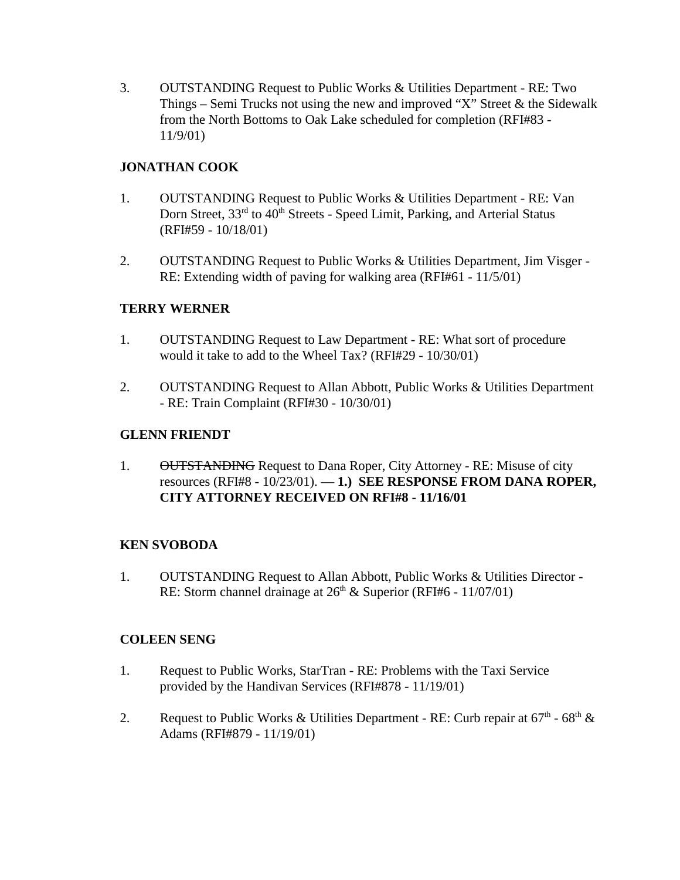3. OUTSTANDING Request to Public Works & Utilities Department - RE: Two Things – Semi Trucks not using the new and improved "X" Street  $\&$  the Sidewalk from the North Bottoms to Oak Lake scheduled for completion (RFI#83 - 11/9/01)

# **JONATHAN COOK**

- 1. OUTSTANDING Request to Public Works & Utilities Department RE: Van Dorn Street, 33<sup>rd</sup> to 40<sup>th</sup> Streets - Speed Limit, Parking, and Arterial Status (RFI#59 - 10/18/01)
- 2. OUTSTANDING Request to Public Works & Utilities Department, Jim Visger RE: Extending width of paving for walking area (RFI#61 - 11/5/01)

### **TERRY WERNER**

- 1. OUTSTANDING Request to Law Department RE: What sort of procedure would it take to add to the Wheel Tax? (RFI#29 - 10/30/01)
- 2. OUTSTANDING Request to Allan Abbott, Public Works & Utilities Department - RE: Train Complaint (RFI#30 - 10/30/01)

### **GLENN FRIENDT**

1. OUTSTANDING Request to Dana Roper, City Attorney - RE: Misuse of city resources (RFI#8 - 10/23/01). — **1.) SEE RESPONSE FROM DANA ROPER, CITY ATTORNEY RECEIVED ON RFI#8 - 11/16/01**

#### **KEN SVOBODA**

1. OUTSTANDING Request to Allan Abbott, Public Works & Utilities Director - RE: Storm channel drainage at  $26<sup>th</sup>$  & Superior (RFI#6 - 11/07/01)

#### **COLEEN SENG**

- 1. Request to Public Works, StarTran RE: Problems with the Taxi Service provided by the Handivan Services (RFI#878 - 11/19/01)
- 2. Request to Public Works & Utilities Department RE: Curb repair at  $67<sup>th</sup>$   $68<sup>th</sup>$  & Adams (RFI#879 - 11/19/01)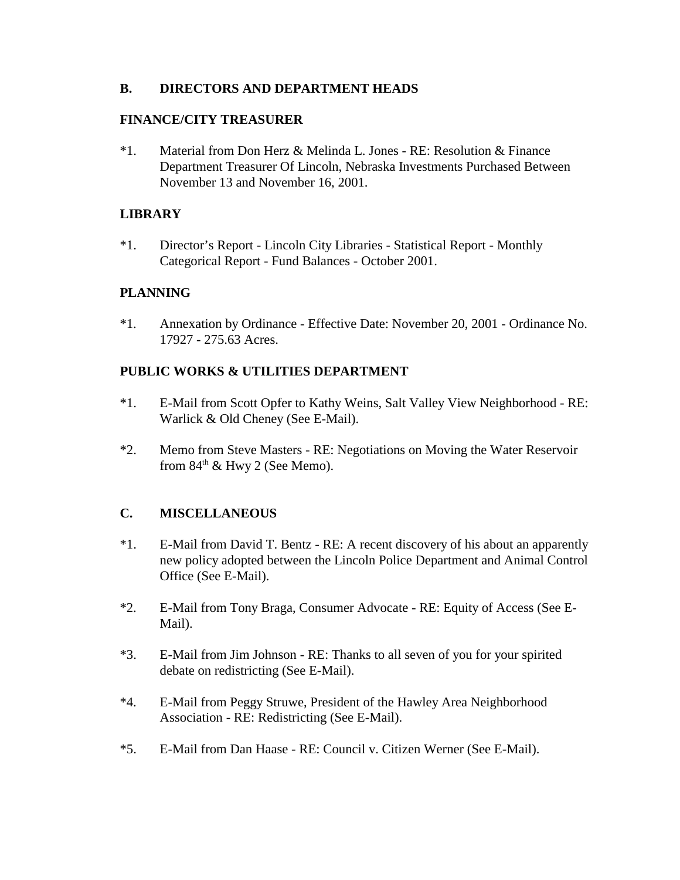#### **B. DIRECTORS AND DEPARTMENT HEADS**

#### **FINANCE/CITY TREASURER**

\*1. Material from Don Herz & Melinda L. Jones - RE: Resolution & Finance Department Treasurer Of Lincoln, Nebraska Investments Purchased Between November 13 and November 16, 2001.

#### **LIBRARY**

\*1. Director's Report - Lincoln City Libraries - Statistical Report - Monthly Categorical Report - Fund Balances - October 2001.

#### **PLANNING**

\*1. Annexation by Ordinance - Effective Date: November 20, 2001 - Ordinance No. 17927 - 275.63 Acres.

#### **PUBLIC WORKS & UTILITIES DEPARTMENT**

- \*1. E-Mail from Scott Opfer to Kathy Weins, Salt Valley View Neighborhood RE: Warlick & Old Cheney (See E-Mail).
- \*2. Memo from Steve Masters RE: Negotiations on Moving the Water Reservoir from  $84<sup>th</sup>$  & Hwy 2 (See Memo).

#### **C. MISCELLANEOUS**

- \*1. E-Mail from David T. Bentz RE: A recent discovery of his about an apparently new policy adopted between the Lincoln Police Department and Animal Control Office (See E-Mail).
- \*2. E-Mail from Tony Braga, Consumer Advocate RE: Equity of Access (See E-Mail).
- \*3. E-Mail from Jim Johnson RE: Thanks to all seven of you for your spirited debate on redistricting (See E-Mail).
- \*4. E-Mail from Peggy Struwe, President of the Hawley Area Neighborhood Association - RE: Redistricting (See E-Mail).
- \*5. E-Mail from Dan Haase RE: Council v. Citizen Werner (See E-Mail).